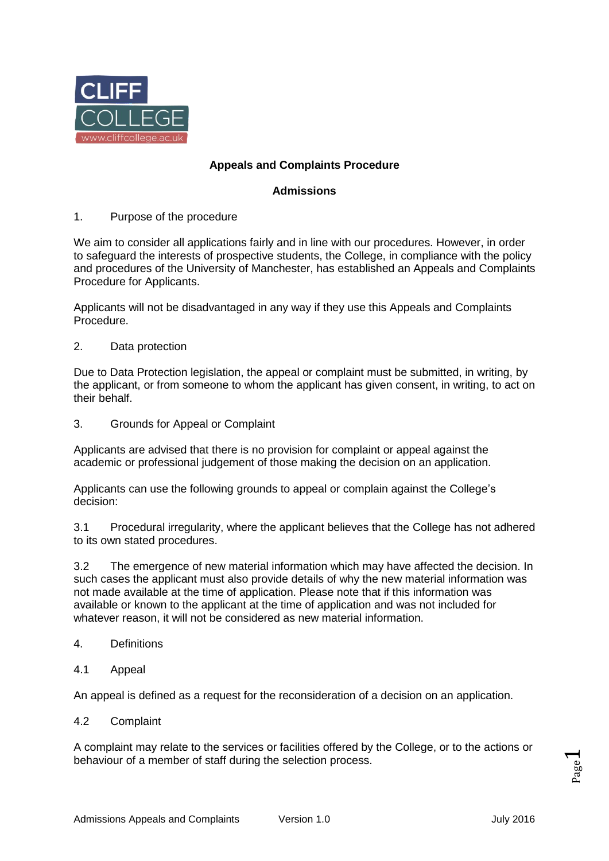

# **Appeals and Complaints Procedure**

## **Admissions**

1. Purpose of the procedure

We aim to consider all applications fairly and in line with our procedures. However, in order to safeguard the interests of prospective students, the College, in compliance with the policy and procedures of the University of Manchester, has established an Appeals and Complaints Procedure for Applicants.

Applicants will not be disadvantaged in any way if they use this Appeals and Complaints Procedure.

2. Data protection

Due to Data Protection legislation, the appeal or complaint must be submitted, in writing, by the applicant, or from someone to whom the applicant has given consent, in writing, to act on their behalf.

3. Grounds for Appeal or Complaint

Applicants are advised that there is no provision for complaint or appeal against the academic or professional judgement of those making the decision on an application.

Applicants can use the following grounds to appeal or complain against the College's decision:

3.1 Procedural irregularity, where the applicant believes that the College has not adhered to its own stated procedures.

3.2 The emergence of new material information which may have affected the decision. In such cases the applicant must also provide details of why the new material information was not made available at the time of application. Please note that if this information was available or known to the applicant at the time of application and was not included for whatever reason, it will not be considered as new material information.

- 4. Definitions
- 4.1 Appeal

An appeal is defined as a request for the reconsideration of a decision on an application.

4.2 Complaint

A complaint may relate to the services or facilities offered by the College, or to the actions or behaviour of a member of staff during the selection process.

Page  $\overline{\phantom{0}}$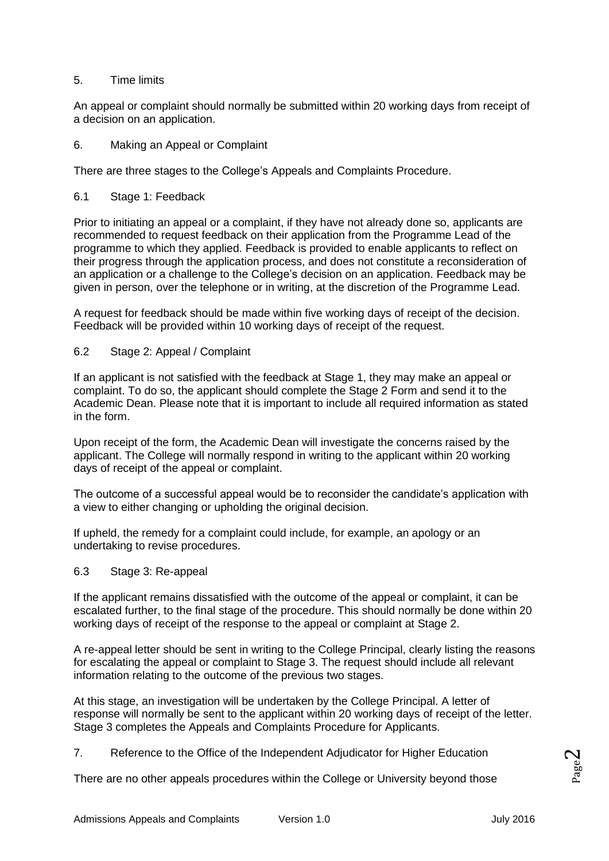## 5. Time limits

An appeal or complaint should normally be submitted within 20 working days from receipt of a decision on an application.

6. Making an Appeal or Complaint

There are three stages to the College's Appeals and Complaints Procedure.

6.1 Stage 1: Feedback

Prior to initiating an appeal or a complaint, if they have not already done so, applicants are recommended to request feedback on their application from the Programme Lead of the programme to which they applied. Feedback is provided to enable applicants to reflect on their progress through the application process, and does not constitute a reconsideration of an application or a challenge to the College's decision on an application. Feedback may be given in person, over the telephone or in writing, at the discretion of the Programme Lead.

A request for feedback should be made within five working days of receipt of the decision. Feedback will be provided within 10 working days of receipt of the request.

### 6.2 Stage 2: Appeal / Complaint

If an applicant is not satisfied with the feedback at Stage 1, they may make an appeal or complaint. To do so, the applicant should complete the Stage 2 Form and send it to the Academic Dean. Please note that it is important to include all required information as stated in the form.

Upon receipt of the form, the Academic Dean will investigate the concerns raised by the applicant. The College will normally respond in writing to the applicant within 20 working days of receipt of the appeal or complaint.

The outcome of a successful appeal would be to reconsider the candidate's application with a view to either changing or upholding the original decision.

If upheld, the remedy for a complaint could include, for example, an apology or an undertaking to revise procedures.

6.3 Stage 3: Re-appeal

If the applicant remains dissatisfied with the outcome of the appeal or complaint, it can be escalated further, to the final stage of the procedure. This should normally be done within 20 working days of receipt of the response to the appeal or complaint at Stage 2.

A re-appeal letter should be sent in writing to the College Principal, clearly listing the reasons for escalating the appeal or complaint to Stage 3. The request should include all relevant information relating to the outcome of the previous two stages.

At this stage, an investigation will be undertaken by the College Principal. A letter of response will normally be sent to the applicant within 20 working days of receipt of the letter. Stage 3 completes the Appeals and Complaints Procedure for Applicants.

7. Reference to the Office of the Independent Adjudicator for Higher Education

There are no other appeals procedures within the College or University beyond those

Page  $\mathbf{\sim}$